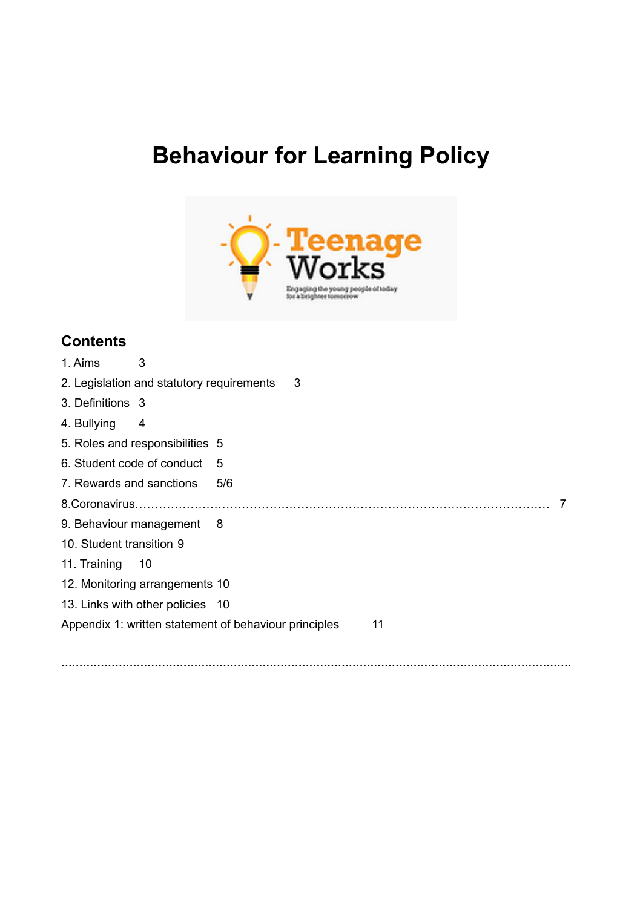# **Behaviour for Learning Policy**



# **Contents**

| 1. Aims                                                     | 3                                         |     |   |  |  |
|-------------------------------------------------------------|-------------------------------------------|-----|---|--|--|
|                                                             | 2. Legislation and statutory requirements |     | 3 |  |  |
| 3. Definitions 3                                            |                                           |     |   |  |  |
| 4. Bullying                                                 | 4                                         |     |   |  |  |
|                                                             | 5. Roles and responsibilities 5           |     |   |  |  |
| 6. Student code of conduct                                  |                                           | 5   |   |  |  |
| 7. Rewards and sanctions                                    |                                           | 5/6 |   |  |  |
|                                                             |                                           |     |   |  |  |
|                                                             | 9. Behaviour management 8                 |     |   |  |  |
| 10. Student transition 9                                    |                                           |     |   |  |  |
| 11. Training                                                | $\overline{10}$                           |     |   |  |  |
| 12. Monitoring arrangements 10                              |                                           |     |   |  |  |
|                                                             | 13. Links with other policies 10          |     |   |  |  |
| Appendix 1: written statement of behaviour principles<br>11 |                                           |     |   |  |  |
|                                                             |                                           |     |   |  |  |

**…………………………………………………………………………………………………………………………….**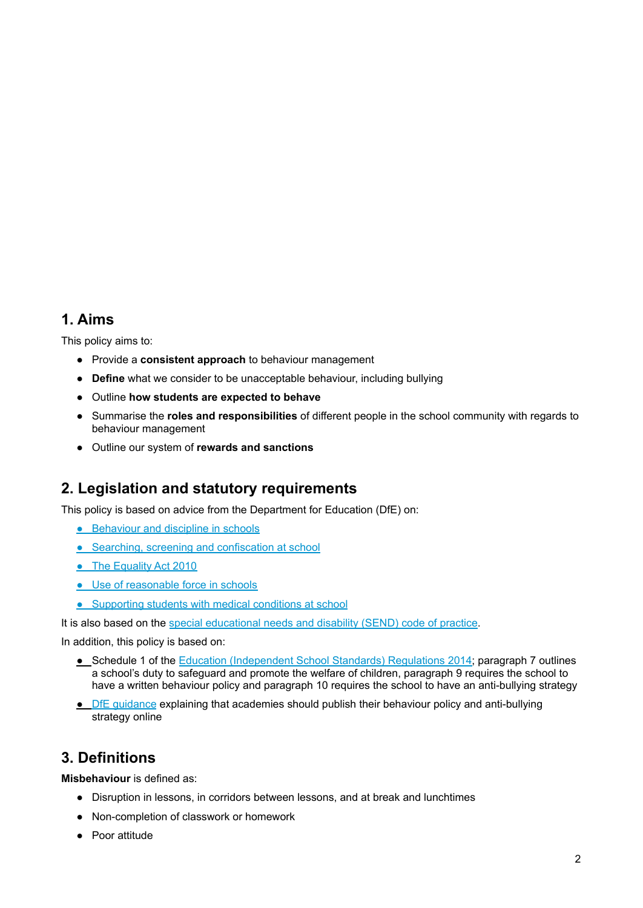### <span id="page-1-0"></span>**1. Aims**

This policy aims to:

- Provide a **consistent approach** to behaviour management
- **Define** what we consider to be unacceptable behaviour, including bullying
- Outline **how students are expected to behave**
- Summarise the **roles and responsibilities** of different people in the school community with regards to behaviour management
- <span id="page-1-1"></span>● Outline our system of **rewards and sanctions**

### **2. Legislation and statutory requirements**

This policy is based on advice from the Department for Education (DfE) on:

- [Behaviour](https://www.gov.uk/government/publications/behaviour-and-discipline-in-schools) and discipline in schools
- Searching, screening and [confiscation](https://www.gov.uk/government/publications/searching-screening-and-confiscation) at school
- The [Equality](https://www.gov.uk/government/publications/equality-act-2010-advice-for-schools) Act 2010
- Use of [reasonable](https://www.gov.uk/government/publications/use-of-reasonable-force-in-schools) force in schools
- **•** [Supporting](https://www.gov.uk/government/publications/supporting-pupils-at-school-with-medical-conditions--3) students with medical conditions at school

It is also based on the special [educational](https://www.gov.uk/government/publications/send-code-of-practice-0-to-25) needs and disability (SEND) code of practice.

In addition, this policy is based on:

- Schedule 1 of the Education [\(Independent](http://www.legislation.gov.uk/uksi/2014/3283/schedule/made) School Standards) Regulations 2014; paragraph 7 outlines a school's duty to safeguard and promote the welfare of children, paragraph 9 requires the school to have a written behaviour policy and paragraph 10 requires the school to have an anti-bullying strategy
- <span id="page-1-2"></span>● DfE [guidance](https://www.gov.uk/guidance/what-academies-free-schools-and-colleges-should-publish-online) explaining that academies should publish their behaviour policy and anti-bullying strategy online

### **3. Definitions**

**Misbehaviour** is defined as:

- Disruption in lessons, in corridors between lessons, and at break and lunchtimes
- Non-completion of classwork or homework
- Poor attitude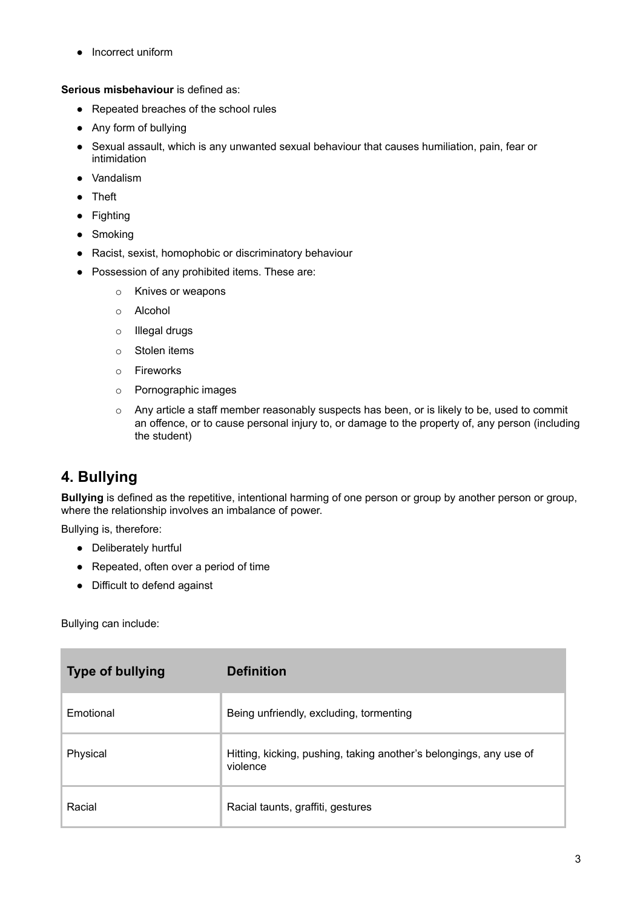● Incorrect uniform

**Serious misbehaviour** is defined as:

- Repeated breaches of the school rules
- Any form of bullying
- Sexual assault, which is any unwanted sexual behaviour that causes humiliation, pain, fear or intimidation
- Vandalism
- Theft
- Fighting
- Smoking
- Racist, sexist, homophobic or discriminatory behaviour
- Possession of any prohibited items. These are:
	- o Knives or weapons
	- o Alcohol
	- o Illegal drugs
	- o Stolen items
	- o Fireworks
	- o Pornographic images
	- o Any article a staff member reasonably suspects has been, or is likely to be, used to commit an offence, or to cause personal injury to, or damage to the property of, any person (including the student)

### <span id="page-2-0"></span>**4. Bullying**

**Bullying** is defined as the repetitive, intentional harming of one person or group by another person or group, where the relationship involves an imbalance of power.

Bullying is, therefore:

- Deliberately hurtful
- Repeated, often over a period of time
- Difficult to defend against

Bullying can include:

| <b>Type of bullying</b> | <b>Definition</b>                                                              |
|-------------------------|--------------------------------------------------------------------------------|
| Emotional               | Being unfriendly, excluding, tormenting                                        |
| Physical                | Hitting, kicking, pushing, taking another's belongings, any use of<br>violence |
| Racial                  | Racial taunts, graffiti, gestures                                              |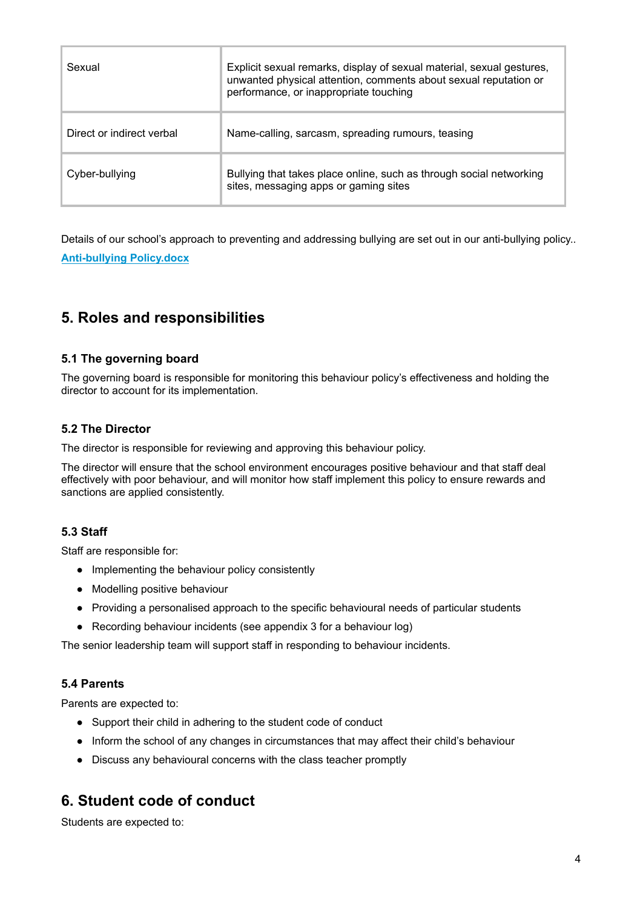| Sexual                    | Explicit sexual remarks, display of sexual material, sexual gestures,<br>unwanted physical attention, comments about sexual reputation or<br>performance, or inappropriate touching |  |
|---------------------------|-------------------------------------------------------------------------------------------------------------------------------------------------------------------------------------|--|
| Direct or indirect verbal | Name-calling, sarcasm, spreading rumours, teasing                                                                                                                                   |  |
| Cyber-bullying            | Bullying that takes place online, such as through social networking<br>sites, messaging apps or gaming sites                                                                        |  |

<span id="page-3-0"></span>Details of our school's approach to preventing and addressing bullying are set out in our anti-bullying policy.. **Anti-bullying Policy.docx**

## **5. Roles and responsibilities**

### **5.1 The governing board**

The governing board is responsible for monitoring this behaviour policy's effectiveness and holding the director to account for its implementation.

### **5.2 The Director**

The director is responsible for reviewing and approving this behaviour policy.

The director will ensure that the school environment encourages positive behaviour and that staff deal effectively with poor behaviour, and will monitor how staff implement this policy to ensure rewards and sanctions are applied consistently.

### **5.3 Staff**

Staff are responsible for:

- Implementing the behaviour policy consistently
- Modelling positive behaviour
- Providing a personalised approach to the specific behavioural needs of particular students
- Recording behaviour incidents (see appendix 3 for a behaviour log)

The senior leadership team will support staff in responding to behaviour incidents.

### **5.4 Parents**

Parents are expected to:

- Support their child in adhering to the student code of conduct
- Inform the school of any changes in circumstances that may affect their child's behaviour
- <span id="page-3-1"></span>● Discuss any behavioural concerns with the class teacher promptly

### **6. Student code of conduct**

Students are expected to: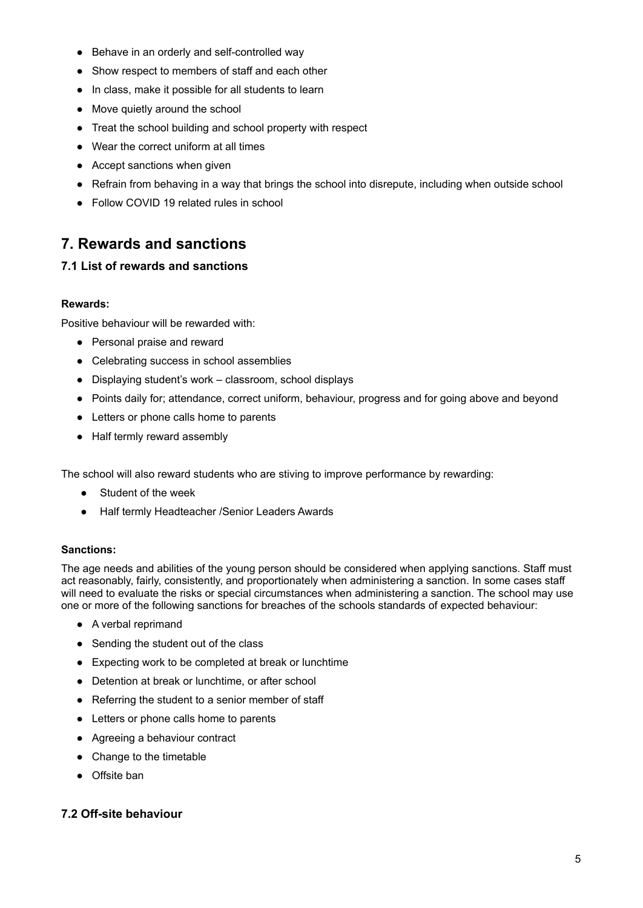- Behave in an orderly and self-controlled way
- Show respect to members of staff and each other
- In class, make it possible for all students to learn
- Move quietly around the school
- Treat the school building and school property with respect
- Wear the correct uniform at all times
- Accept sanctions when given
- Refrain from behaving in a way that brings the school into disrepute, including when outside school
- <span id="page-4-0"></span>● Follow COVID 19 related rules in school

### **7. Rewards and sanctions**

### **7.1 List of rewards and sanctions**

#### **Rewards:**

Positive behaviour will be rewarded with:

- Personal praise and reward
- Celebrating success in school assemblies
- Displaying student's work classroom, school displays
- Points daily for; attendance, correct uniform, behaviour, progress and for going above and beyond
- Letters or phone calls home to parents
- Half termly reward assembly

The school will also reward students who are stiving to improve performance by rewarding:

- Student of the week
- Half termly Headteacher /Senior Leaders Awards

#### **Sanctions:**

The age needs and abilities of the young person should be considered when applying sanctions. Staff must act reasonably, fairly, consistently, and proportionately when administering a sanction. In some cases staff will need to evaluate the risks or special circumstances when administering a sanction. The school may use one or more of the following sanctions for breaches of the schools standards of expected behaviour:

- A verbal reprimand
- Sending the student out of the class
- Expecting work to be completed at break or lunchtime
- Detention at break or lunchtime, or after school
- Referring the student to a senior member of staff
- Letters or phone calls home to parents
- Agreeing a behaviour contract
- Change to the timetable
- Offsite ban

### **7.2 Off-site behaviour**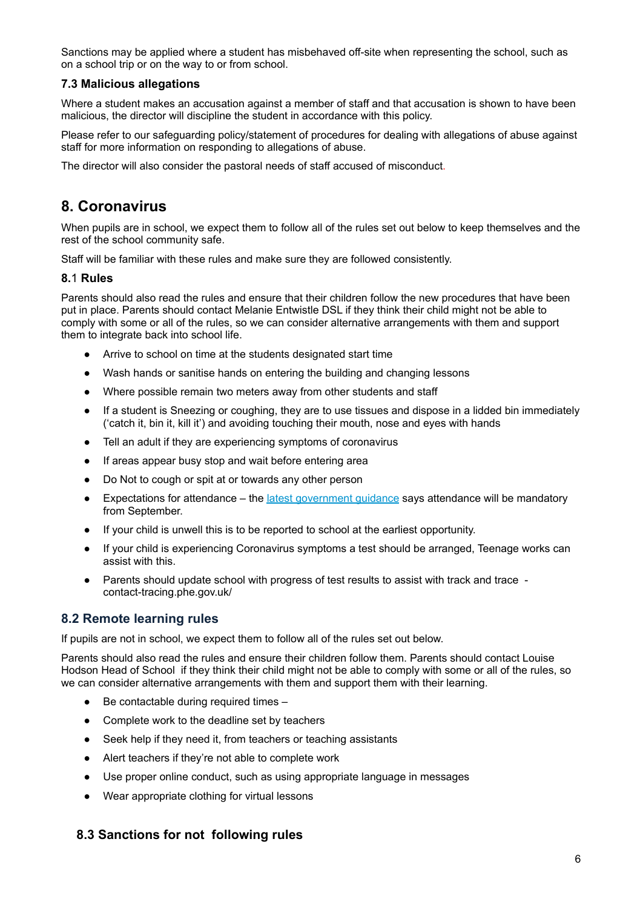Sanctions mav be applied where a student has misbehaved off-site when representing the school, such as on a school trip or on the way to or from school.

### **7.3 Malicious allegations**

Where a student makes an accusation against a member of staff and that accusation is shown to have been malicious, the director will discipline the student in accordance with this policy.

Please refer to our safeguarding policy/statement of procedures for dealing with allegations of abuse against staff for more information on responding to allegations of abuse.

The director will also consider the pastoral needs of staff accused of misconduct.

### **8. Coronavirus**

When pupils are in school, we expect them to follow all of the rules set out below to keep themselves and the rest of the school community safe.

Staff will be familiar with these rules and make sure they are followed consistently.

#### **8.**1 **Rules**

Parents should also read the rules and ensure that their children follow the new procedures that have been put in place. Parents should contact Melanie Entwistle DSL if they think their child might not be able to comply with some or all of the rules, so we can consider alternative arrangements with them and support them to integrate back into school life.

- Arrive to school on time at the students designated start time
- Wash hands or sanitise hands on entering the building and changing lessons
- Where possible remain two meters away from other students and staff
- If a student is Sneezing or coughing, they are to use tissues and dispose in a lidded bin immediately ('catch it, bin it, kill it') and avoiding touching their mouth, nose and eyes with hands
- Tell an adult if they are experiencing symptoms of coronavirus
- If areas appear busy stop and wait before entering area
- Do Not to cough or spit at or towards any other person
- Expectations for attendance the latest [government](https://www.gov.uk/government/publications/actions-for-schools-during-the-coronavirus-outbreak/guidance-for-full-opening-schools) guidance says attendance will be mandatory from September.
- If your child is unwell this is to be reported to school at the earliest opportunity.
- If your child is experiencing Coronavirus symptoms a test should be arranged, Teenage works can assist with this.
- Parents should update school with progress of test results to assist with track and trace contact-tracing.phe.gov.uk/

### **8.2 Remote learning rules**

If pupils are not in school, we expect them to follow all of the rules set out below.

Parents should also read the rules and ensure their children follow them. Parents should contact Louise Hodson Head of School if they think their child might not be able to comply with some or all of the rules, so we can consider alternative arrangements with them and support them with their learning.

- Be contactable during required times -
- Complete work to the deadline set by teachers
- Seek help if they need it, from teachers or teaching assistants
- Alert teachers if they're not able to complete work
- Use proper online conduct, such as using appropriate language in messages
- Wear appropriate clothing for virtual lessons

### **8.3 Sanctions for not following rules**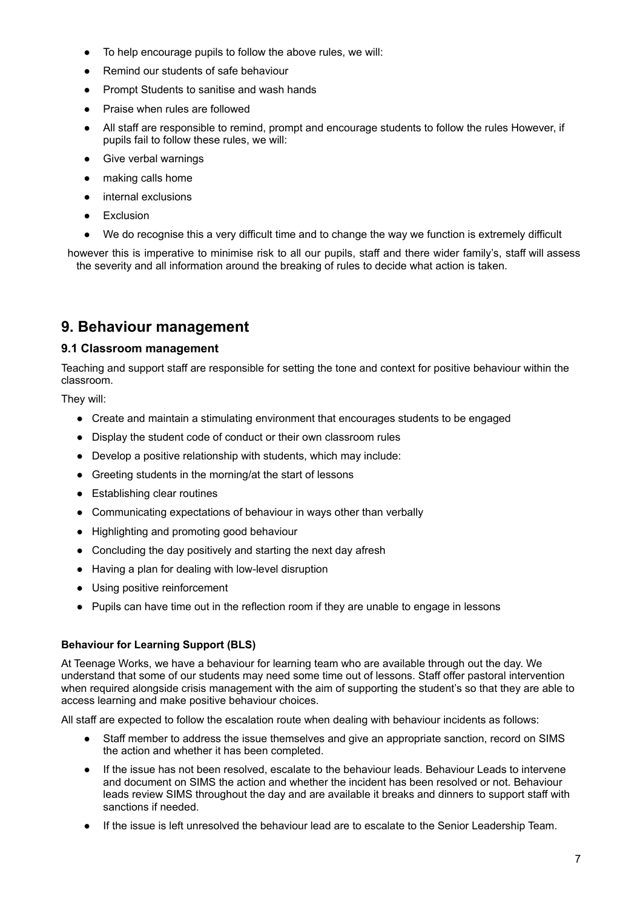- To help encourage pupils to follow the above rules, we will:
- Remind our students of safe behaviour
- Prompt Students to sanitise and wash hands
- Praise when rules are followed
- All staff are responsible to remind, prompt and encourage students to follow the rules However, if pupils fail to follow these rules, we will:
- Give verbal warnings
- making calls home
- internal exclusions
- **Exclusion**
- We do recognise this a very difficult time and to change the way we function is extremely difficult

however this is imperative to minimise risk to all our pupils, staff and there wider family's, staff will assess the severity and all information around the breaking of rules to decide what action is taken.

### **9. Behaviour management**

#### **9.1 Classroom management**

Teaching and support staff are responsible for setting the tone and context for positive behaviour within the classroom.

They will:

- Create and maintain a stimulating environment that encourages students to be engaged
- Display the student code of conduct or their own classroom rules
- Develop a positive relationship with students, which may include:
- Greeting students in the morning/at the start of lessons
- Establishing clear routines
- Communicating expectations of behaviour in ways other than verbally
- Highlighting and promoting good behaviour
- Concluding the day positively and starting the next day afresh
- Having a plan for dealing with low-level disruption
- Using positive reinforcement
- Pupils can have time out in the reflection room if they are unable to engage in lessons

### **Behaviour for Learning Support (BLS)**

At Teenage Works, we have a behaviour for learning team who are available through out the day. We understand that some of our students may need some time out of lessons. Staff offer pastoral intervention when required alongside crisis management with the aim of supporting the student's so that they are able to access learning and make positive behaviour choices.

All staff are expected to follow the escalation route when dealing with behaviour incidents as follows:

- Staff member to address the issue themselves and give an appropriate sanction, record on SIMS the action and whether it has been completed.
- If the issue has not been resolved, escalate to the behaviour leads. Behaviour Leads to intervene and document on SIMS the action and whether the incident has been resolved or not. Behaviour leads review SIMS throughout the day and are available it breaks and dinners to support staff with sanctions if needed.
- If the issue is left unresolved the behaviour lead are to escalate to the Senior Leadership Team.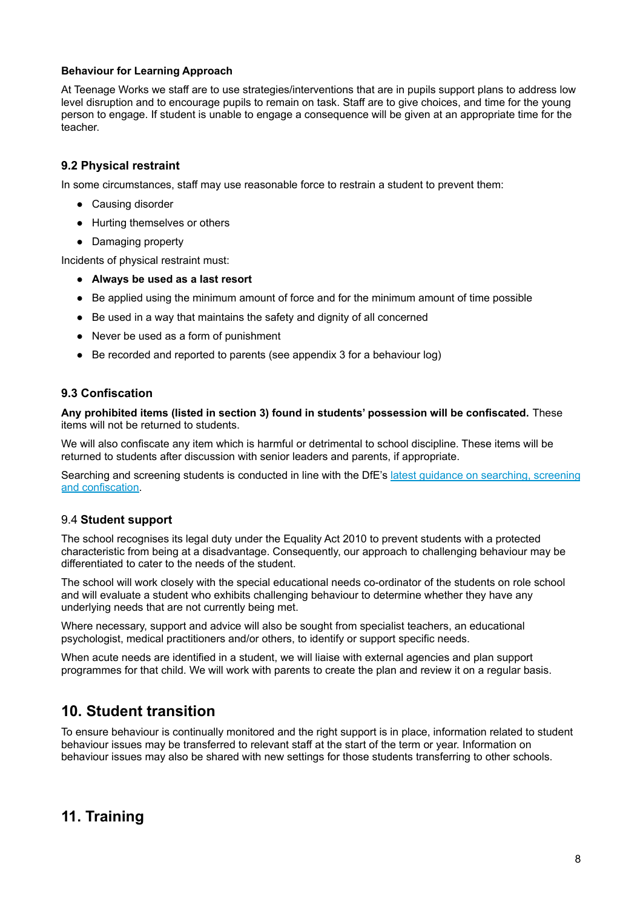#### **Behaviour for Learning Approach**

At Teenage Works we staff are to use strategies/interventions that are in pupils support plans to address low level disruption and to encourage pupils to remain on task. Staff are to give choices, and time for the young person to engage. If student is unable to engage a consequence will be given at an appropriate time for the teacher.

### **9.2 Physical restraint**

In some circumstances, staff may use reasonable force to restrain a student to prevent them:

- Causing disorder
- Hurting themselves or others
- Damaging property

Incidents of physical restraint must:

- **Always be used as a last resort**
- Be applied using the minimum amount of force and for the minimum amount of time possible
- Be used in a way that maintains the safety and dignity of all concerned
- Never be used as a form of punishment
- Be recorded and reported to parents (see appendix 3 for a behaviour log)

### **9.3 Confiscation**

**Any prohibited items (listed in section 3) found in students' possession will be confiscated.** These items will not be returned to students.

We will also confiscate any item which is harmful or detrimental to school discipline. These items will be returned to students after discussion with senior leaders and parents, if appropriate.

Searching and screening students is conducted in line with the DfE's latest guidance on [searching,](https://www.gov.uk/government/publications/searching-screening-and-confiscation) screening and [confiscation.](https://www.gov.uk/government/publications/searching-screening-and-confiscation)

### 9.4 **Student support**

The school recognises its legal duty under the Equality Act 2010 to prevent students with a protected characteristic from being at a disadvantage. Consequently, our approach to challenging behaviour may be differentiated to cater to the needs of the student.

The school will work closely with the special educational needs co-ordinator of the students on role school and will evaluate a student who exhibits challenging behaviour to determine whether they have any underlying needs that are not currently being met.

Where necessary, support and advice will also be sought from specialist teachers, an educational psychologist, medical practitioners and/or others, to identify or support specific needs.

When acute needs are identified in a student, we will liaise with external agencies and plan support programmes for that child. We will work with parents to create the plan and review it on a regular basis.

### **10. Student transition**

To ensure behaviour is continually monitored and the right support is in place, information related to student behaviour issues may be transferred to relevant staff at the start of the term or year. Information on behaviour issues may also be shared with new settings for those students transferring to other schools.

### **11. Training**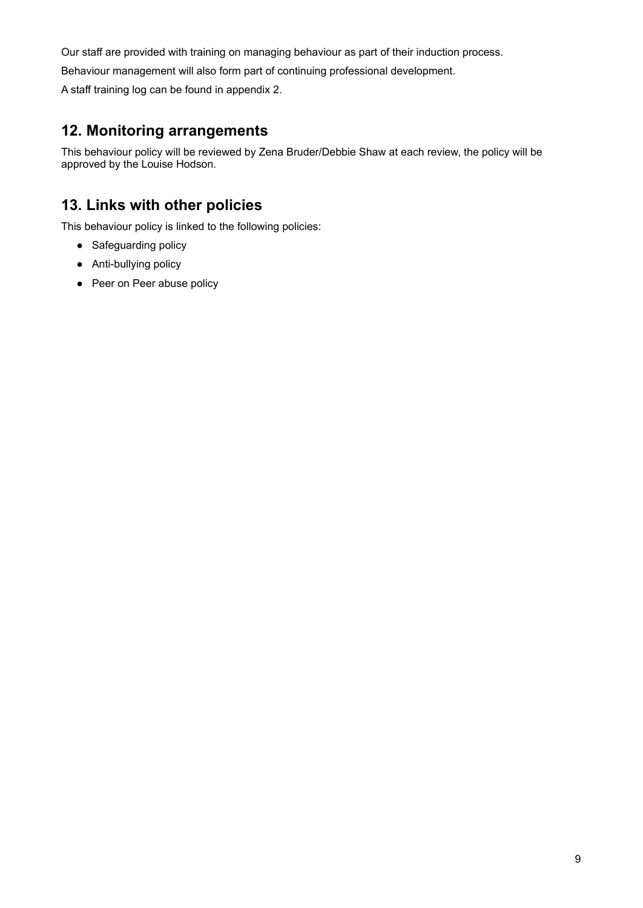Our staff are provided with training on managing behaviour as part of their induction process.

Behaviour management will also form part of continuing professional development.

A staff training log can be found in appendix 2.

### **12. Monitoring arrangements**

This behaviour policy will be reviewed by Zena Bruder/Debbie Shaw at each review, the policy will be approved by the Louise Hodson.

# **13. Links with other policies**

This behaviour policy is linked to the following policies:

- Safeguarding policy
- Anti-bullying policy
- Peer on Peer abuse policy